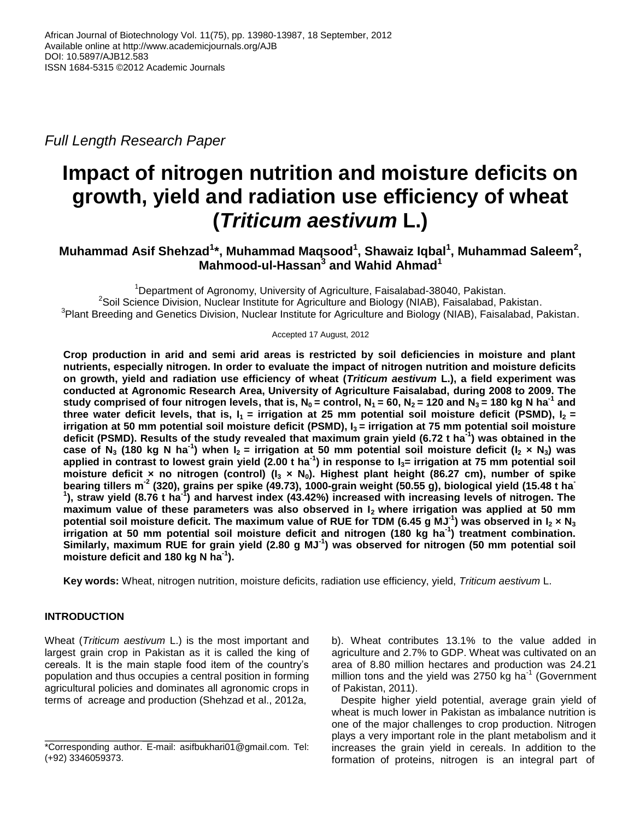*Full Length Research Paper*

# **Impact of nitrogen nutrition and moisture deficits on growth, yield and radiation use efficiency of wheat (***Triticum aestivum* **L.)**

## **Muhammad Asif Shehzad<sup>1</sup> \*, Muhammad Maqsood<sup>1</sup> , Shawaiz Iqbal<sup>1</sup> , Muhammad Saleem<sup>2</sup> , Mahmood-ul-Hassan<sup>3</sup> and Wahid Ahmad<sup>1</sup>**

<sup>1</sup>Department of Agronomy, University of Agriculture, Faisalabad-38040, Pakistan. <sup>2</sup>Soil Science Division, Nuclear Institute for Agriculture and Biology (NIAB), Faisalabad, Pakistan. <sup>3</sup> Plant Breeding and Genetics Division, Nuclear Institute for Agriculture and Biology (NIAB), Faisalabad, Pakistan.

Accepted 17 August, 2012

**Crop production in arid and semi arid areas is restricted by soil deficiencies in moisture and plant nutrients, especially nitrogen. In order to evaluate the impact of nitrogen nutrition and moisture deficits on growth, yield and radiation use efficiency of wheat (***Triticum aestivum* **L.), a field experiment was conducted at Agronomic Research Area, University of Agriculture Faisalabad, during 2008 to 2009. The**  study comprised of four nitrogen levels, that is,  $N_0$  = control,  $N_1$  = 60,  $N_2$  = 120 and  $N_3$  = 180 kg N ha<sup>-1</sup> and **three water deficit levels, that is,**  $I_1 =$  **irrigation at 25 mm potential soil moisture deficit (PSMD),**  $I_2 =$ **irrigation at 50 mm potential soil moisture deficit (PSMD), I<sup>3</sup> = irrigation at 75 mm potential soil moisture deficit (PSMD). Results of the study revealed that maximum grain yield (6.72 t ha-1 ) was obtained in the** case of N<sub>3</sub> (180 kg N ha<sup>-1</sup>) when  $I_2$  = irrigation at 50 mm potential soil moisture deficit (I<sub>2</sub> × N<sub>3</sub>) was **applied in contrast to lowest grain yield (2.00 t ha-1 ) in response to I3= irrigation at 75 mm potential soil moisture deficit × no nitrogen (control) (I<sup>3</sup> × N0). Highest plant height (86.27 cm), number of spike**  bearing tillers m<sup>-2</sup> (320), grains per spike (49.73), 1000-grain weight (50.55 g), biological yield (15.48 t ha<br><sup>1</sup>), straw yield (8.76 t ha<sup>-1</sup>) and harvest index (43.42%) increased with increasing levels of nitrogen. Th **maximum value of these parameters was also observed in I2 where irrigation was applied at 50 mm potential soil moisture deficit. The maximum value of RUE for TDM (6.45 g MJ-1 ) was observed in I<sup>2</sup> × N<sup>3</sup> irrigation at 50 mm potential soil moisture deficit and nitrogen (180 kg ha-1 ) treatment combination. Similarly, maximum RUE for grain yield (2.80 g MJ-1 ) was observed for nitrogen (50 mm potential soil moisture deficit and 180 kg N ha-1 ).**

**Key words:** Wheat, nitrogen nutrition, moisture deficits, radiation use efficiency, yield, *Triticum aestivum* L.

### **INTRODUCTION**

Wheat (*Triticum aestivum* L.) is the most important and largest grain crop in Pakistan as it is called the king of cereals. It is the main staple food item of the country's population and thus occupies a central position in forming agricultural policies and dominates all agronomic crops in terms of acreage and production (Shehzad et al., 2012a,

b). Wheat contributes 13.1% to the value added in agriculture and 2.7% to GDP. Wheat was cultivated on an area of 8.80 million hectares and production was 24.21 million tons and the yield was 2750 kg ha<sup>-1</sup> (Government of Pakistan, 2011).

Despite higher yield potential, average grain yield of wheat is much lower in Pakistan as imbalance nutrition is one of the major challenges to crop production. Nitrogen plays a very important role in the plant metabolism and it increases the grain yield in cereals. In addition to the formation of proteins, nitrogen is an integral part of

<sup>\*</sup>Corresponding author. E-mail: asifbukhari01@gmail.com. Tel: (+92) 3346059373.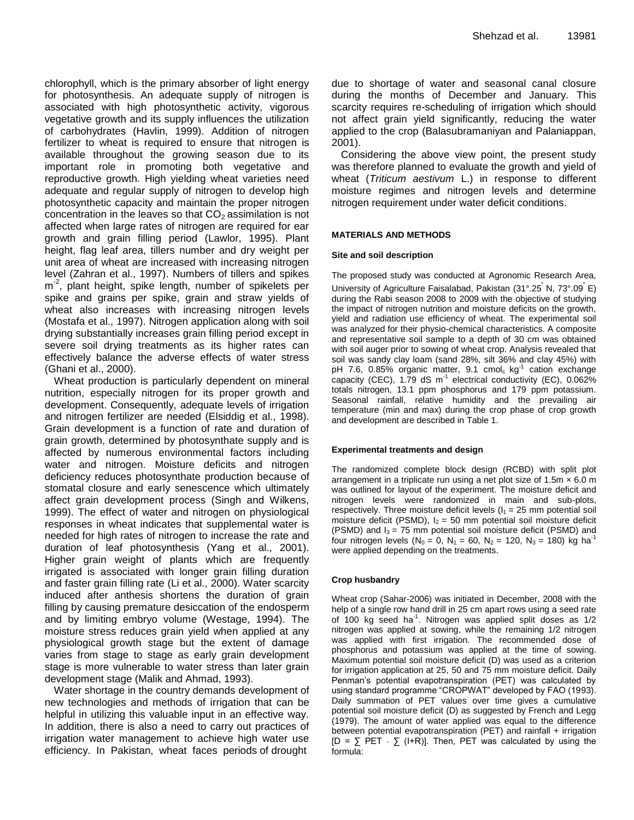chlorophyll, which is the primary absorber of light energy for photosynthesis. An adequate supply of nitrogen is associated with high photosynthetic activity, vigorous vegetative growth and its supply influences the utilization of carbohydrates (Havlin, 1999). Addition of nitrogen fertilizer to wheat is required to ensure that nitrogen is available throughout the growing season due to its important role in promoting both vegetative and reproductive growth. High yielding wheat varieties need adequate and regular supply of nitrogen to develop high photosynthetic capacity and maintain the proper nitrogen concentration in the leaves so that  $CO<sub>2</sub>$  assimilation is not affected when large rates of nitrogen are required for ear growth and grain filling period (Lawlor, 1995). Plant height, flag leaf area, tillers number and dry weight per unit area of wheat are increased with increasing nitrogen level (Zahran et al., 1997). Numbers of tillers and spikes m<sup>-2</sup>, plant height, spike length, number of spikelets per spike and grains per spike, grain and straw yields of wheat also increases with increasing nitrogen levels (Mostafa et al., 1997). Nitrogen application along with soil drying substantially increases grain filling period except in severe soil drying treatments as its higher rates can effectively balance the adverse effects of water stress (Ghani et al., 2000).

Wheat production is particularly dependent on mineral nutrition, especially nitrogen for its proper growth and development. Consequently, adequate levels of irrigation and nitrogen fertilizer are needed (Elsiddig et al., 1998). Grain development is a function of rate and duration of grain growth, determined by photosynthate supply and is affected by numerous environmental factors including water and nitrogen. Moisture deficits and nitrogen deficiency reduces photosynthate production because of stomatal closure and early senescence which ultimately affect grain development process (Singh and Wilkens, 1999). The effect of water and nitrogen on physiological responses in wheat indicates that supplemental water is needed for high rates of nitrogen to increase the rate and duration of leaf photosynthesis (Yang et al., 2001). Higher grain weight of plants which are frequently irrigated is associated with longer grain filling duration and faster grain filling rate (Li et al., 2000). Water scarcity induced after anthesis shortens the duration of grain filling by causing premature desiccation of the endosperm and by limiting embryo volume (Westage, 1994). The moisture stress reduces grain yield when applied at any physiological growth stage but the extent of damage varies from stage to stage as early grain development stage is more vulnerable to water stress than later grain development stage (Malik and Ahmad, 1993).

Water shortage in the country demands development of new technologies and methods of irrigation that can be helpful in utilizing this valuable input in an effective way. In addition, there is also a need to carry out practices of irrigation water management to achieve high water use efficiency. In Pakistan, wheat faces periods of drought

due to shortage of water and seasonal canal closure during the months of December and January. This scarcity requires re-scheduling of irrigation which should not affect grain yield significantly, reducing the water applied to the crop (Balasubramaniyan and Palaniappan, 2001).

Considering the above view point, the present study was therefore planned to evaluate the growth and yield of wheat (*Triticum aestivum* L.) in response to different moisture regimes and nitrogen levels and determine nitrogen requirement under water deficit conditions.

#### **MATERIALS AND METHODS**

#### **Site and soil description**

The proposed study was conducted at Agronomic Research Area, University of Agriculture Faisalabad, Pakistan (31°.25' N, 73°.09' E) during the Rabi season 2008 to 2009 with the objective of studying the impact of nitrogen nutrition and moisture deficits on the growth, yield and radiation use efficiency of wheat. The experimental soil was analyzed for their physio-chemical characteristics. A composite and representative soil sample to a depth of 30 cm was obtained with soil auger prior to sowing of wheat crop. Analysis revealed that soil was sandy clay loam (sand 28%, silt 36% and clay 45%) with pH 7.6, 0.85% organic matter, 9.1 cmol $_{\rm c}$  kg<sup>-1</sup> cation exchange capacity (CEC),  $1.79$  dS m<sup>-1</sup> electrical conductivity (EC),  $0.062\%$ totals nitrogen, 13.1 ppm phosphorus and 179 ppm potassium. Seasonal rainfall, relative humidity and the prevailing air temperature (min and max) during the crop phase of crop growth and development are described in Table 1.

#### **Experimental treatments and design**

The randomized complete block design (RCBD) with split plot arrangement in a triplicate run using a net plot size of 1.5m  $\times$  6.0 m was outlined for layout of the experiment. The moisture deficit and nitrogen levels were randomized in main and sub-plots, respectively. Three moisture deficit levels  $(I_1 = 25$  mm potential soil moisture deficit (PSMD),  $I_2 = 50$  mm potential soil moisture deficit (PSMD) and  $I_3 = 75$  mm potential soil moisture deficit (PSMD) and four nitrogen levels (N<sub>0</sub> = 0, N<sub>1</sub> = 60, N<sub>2</sub> = 120, N<sub>3</sub> = 180) kg ha<sup>-1</sup> were applied depending on the treatments.

#### **Crop husbandry**

Wheat crop (Sahar-2006) was initiated in December, 2008 with the help of a single row hand drill in 25 cm apart rows using a seed rate of 100 kg seed ha<sup>-1</sup>. Nitrogen was applied split doses as 1/2 nitrogen was applied at sowing, while the remaining 1/2 nitrogen was applied with first irrigation. The recommended dose of phosphorus and potassium was applied at the time of sowing. Maximum potential soil moisture deficit (D) was used as a criterion for irrigation application at 25, 50 and 75 mm moisture deficit. Daily Penman's potential evapotranspiration (PET) was calculated by using standard programme "CROPWAT" developed by FAO (1993). Daily summation of PET values over time gives a cumulative potential soil moisture deficit (D) as suggested by French and Legg (1979). The amount of water applied was equal to the difference between potential evapotranspiration (PET) and rainfall + irrigation  $[D = \sum PET - \sum (I+R)]$ . Then, PET was calculated by using the formula: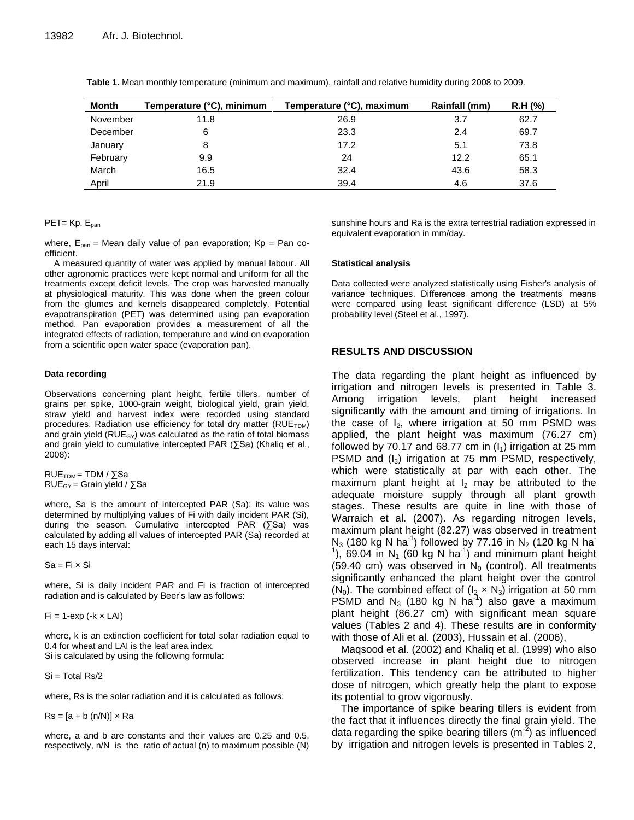| Month    | Temperature (°C), minimum | Temperature (°C), maximum | Rainfall (mm) | R.H (%) |
|----------|---------------------------|---------------------------|---------------|---------|
| November | 11.8                      | 26.9                      | 3.7           | 62.7    |
| December | 6                         | 23.3                      | 2.4           | 69.7    |
| January  | 8                         | 17.2                      | 5.1           | 73.8    |
| February | 9.9                       | 24                        | 12.2          | 65.1    |
| March    | 16.5                      | 32.4                      | 43.6          | 58.3    |
| April    | 21.9                      | 39.4                      | 4.6           | 37.6    |

**Table 1.** Mean monthly temperature (minimum and maximum), rainfall and relative humidity during 2008 to 2009.

#### $PET= Kp. E<sub>pan</sub>$

where,  $E_{pan}$  = Mean daily value of pan evaporation;  $Kp = Pan$  coefficient.

A measured quantity of water was applied by manual labour. All other agronomic practices were kept normal and uniform for all the treatments except deficit levels. The crop was harvested manually at physiological maturity. This was done when the green colour from the glumes and kernels disappeared completely. Potential evapotranspiration (PET) was determined using pan evaporation method. Pan evaporation provides a measurement of all the integrated effects of radiation, temperature and wind on evaporation from a scientific open water space (evaporation pan).

#### **Data recording**

Observations concerning plant height, fertile tillers, number of grains per spike, 1000-grain weight, biological yield, grain yield, straw yield and harvest index were recorded using standard procedures. Radiation use efficiency for total dry matter (RUE<sub>TDM</sub>) and grain yield ( $RUE_{GY}$ ) was calculated as the ratio of total biomass and grain yield to cumulative intercepted PAR (∑Sa) (Khaliq et al., 2008):

 $RUE<sub>TDM</sub> = TDM / \sum Sa$ RUE<sub>GY</sub> = Grain yield /  $\Sigma$ Sa

where, Sa is the amount of intercepted PAR (Sa); its value was determined by multiplying values of Fi with daily incident PAR (Si), during the season. Cumulative intercepted PAR (∑Sa) was calculated by adding all values of intercepted PAR (Sa) recorded at each 15 days interval:

 $Sa = Fi \times Si$ 

where, Si is daily incident PAR and Fi is fraction of intercepted radiation and is calculated by Beer's law as follows:

 $Fi = 1$ -exp (- $k \times LAI$ )

where, k is an extinction coefficient for total solar radiation equal to 0.4 for wheat and LAI is the leaf area index. Si is calculated by using the following formula:

 $Si = Total Rs/2$ 

where, Rs is the solar radiation and it is calculated as follows:

 $Rs = [a + b (n/N)] \times Ra$ 

where, a and b are constants and their values are 0.25 and 0.5, respectively, n/N is the ratio of actual (n) to maximum possible (N) sunshine hours and Ra is the extra terrestrial radiation expressed in equivalent evaporation in mm/day.

#### **Statistical analysis**

Data collected were analyzed statistically using Fisher's analysis of variance techniques. Differences among the treatments' means were compared using least significant difference (LSD) at 5% probability level (Steel et al., 1997).

#### **RESULTS AND DISCUSSION**

The data regarding the plant height as influenced by irrigation and nitrogen levels is presented in Table 3. Among irrigation levels, plant height increased significantly with the amount and timing of irrigations. In the case of  $I_2$ , where irrigation at 50 mm PSMD was applied, the plant height was maximum (76.27 cm) followed by 70.17 and 68.77 cm in  $(I_1)$  irrigation at 25 mm PSMD and  $(I_3)$  irrigation at 75 mm PSMD, respectively, which were statistically at par with each other. The maximum plant height at  $I_2$  may be attributed to the adequate moisture supply through all plant growth stages. These results are quite in line with those of Warraich et al. (2007). As regarding nitrogen levels, maximum plant height (82.27) was observed in treatment  $N_3$  (180 kg N ha<sup>-1</sup>) followed by 77.16 in  $N_2$  (120 kg N ha<sup>-</sup>  $1$ ), 69.04 in N<sub>1</sub> (60 kg N ha<sup>-1</sup>) and minimum plant height (59.40 cm) was observed in  $N_0$  (control). All treatments significantly enhanced the plant height over the control (N<sub>0</sub>). The combined effect of ( $I_2 \times N_3$ ) irrigation at 50 mm PSMD and N<sub>3</sub> (180 kg N ha<sup>-1</sup>) also gave a maximum plant height (86.27 cm) with significant mean square values (Tables 2 and 4). These results are in conformity with those of Ali et al. (2003), Hussain et al. (2006),

Maqsood et al. (2002) and Khaliq et al. (1999) who also observed increase in plant height due to nitrogen fertilization. This tendency can be attributed to higher dose of nitrogen, which greatly help the plant to expose its potential to grow vigorously.

The importance of spike bearing tillers is evident from the fact that it influences directly the final grain yield. The data regarding the spike bearing tillers (m<sup>-2</sup>) as influenced by irrigation and nitrogen levels is presented in Tables 2,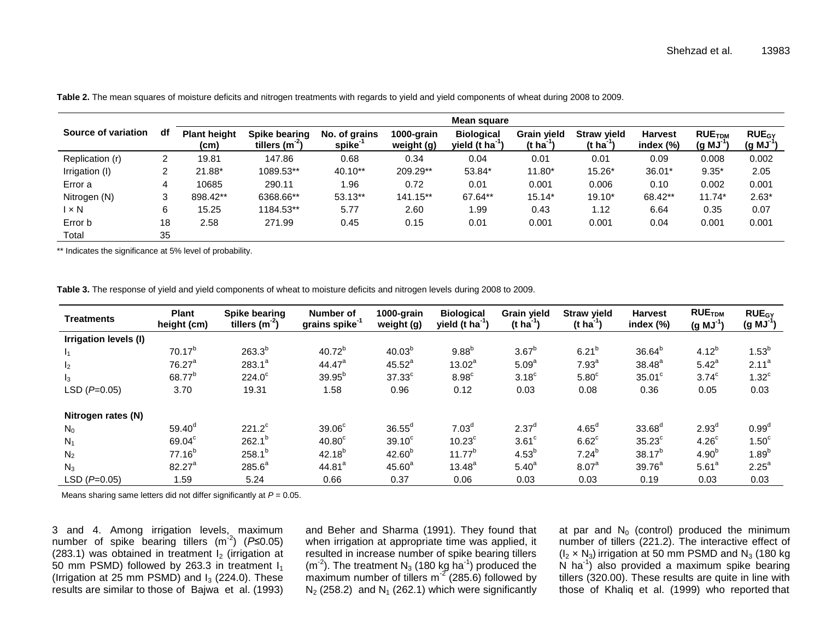|                     |    | Mean square                 |                                     |                                     |                          |                                                  |                                             |                                             |                             |                                         |                                        |
|---------------------|----|-----------------------------|-------------------------------------|-------------------------------------|--------------------------|--------------------------------------------------|---------------------------------------------|---------------------------------------------|-----------------------------|-----------------------------------------|----------------------------------------|
| Source of variation | df | <b>Plant height</b><br>(cm) | Spike bearing<br>tillers $(m^{-2})$ | No. of grains<br>spike <sup>-</sup> | 1000-grain<br>weight (g) | <b>Biological</b><br>yield $(t \text{ ha}^{-1})$ | <b>Grain yield</b><br>(t ha <sup>-1</sup> ) | <b>Straw yield</b><br>(t ha <sup>-1</sup> ) | <b>Harvest</b><br>index (%) | <b>RUE<sub>TDM</sub></b><br>$(g M J^1)$ | <b>RUE<sub>GY</sub></b><br>$(g M J^1)$ |
| Replication (r)     | ົ  | 19.81                       | 147.86                              | 0.68                                | 0.34                     | 0.04                                             | 0.01                                        | 0.01                                        | 0.09                        | 0.008                                   | 0.002                                  |
| Irrigation (I)      |    | 21.88*                      | 1089.53**                           | 40.10**                             | 209.29**                 | 53.84*                                           | 11.80*                                      | 15.26*                                      | 36.01*                      | $9.35*$                                 | 2.05                                   |
| Error a             | 4  | 10685                       | 290.11                              | l.96                                | 0.72                     | 0.01                                             | 0.001                                       | 0.006                                       | 0.10                        | 0.002                                   | 0.001                                  |
| Nitrogen (N)        |    | 898.42**                    | 6368.66**                           | $53.13**$                           | 141.15**                 | 67.64**                                          | $15.14*$                                    | $19.10*$                                    | 68.42**                     | $11.74*$                                | $2.63*$                                |
| $1 \times N$        | 6  | 15.25                       | 1184.53**                           | 5.77                                | 2.60                     | 1.99                                             | 0.43                                        | 1.12                                        | 6.64                        | 0.35                                    | 0.07                                   |
| Error b             | 18 | 2.58                        | 271.99                              | 0.45                                | 0.15                     | 0.01                                             | 0.001                                       | 0.001                                       | 0.04                        | 0.001                                   | 0.001                                  |
| Total               | 35 |                             |                                     |                                     |                          |                                                  |                                             |                                             |                             |                                         |                                        |

**Table 2.** The mean squares of moisture deficits and nitrogen treatments with regards to yield and yield components of wheat during 2008 to 2009.

\*\* Indicates the significance at 5% level of probability.

**Table 3.** The response of yield and yield components of wheat to moisture deficits and nitrogen levels during 2008 to 2009.

| <b>Treatments</b>     | <b>Plant</b><br>height (cm) | Spike bearing<br>tillers $(m-2)$ | Number of<br>grains spike <sup>-1</sup> | 1000-grain<br>weight (g) | <b>Biological</b><br>yield (t $ha^{-1}$ ) | <b>Grain yield</b><br>$(t \text{ ha}^{-1})$ | <b>Straw yield</b><br>(t ha <sup>-1</sup> ) | <b>Harvest</b><br>index (%) | <b>RUETDM</b><br>$(g MJ-1)$ | <b>RUE<sub>GY</sub></b><br>$(g MJ-1)$ |
|-----------------------|-----------------------------|----------------------------------|-----------------------------------------|--------------------------|-------------------------------------------|---------------------------------------------|---------------------------------------------|-----------------------------|-----------------------------|---------------------------------------|
| Irrigation levels (I) |                             |                                  |                                         |                          |                                           |                                             |                                             |                             |                             |                                       |
| 1 <sub>1</sub>        | $70.17^{b}$                 | $263.3^{b}$                      | $40.72^{b}$                             | 40.03 <sup>b</sup>       | $9.88^{b}$                                | $3.67^{b}$                                  | $6.21^{b}$                                  | $36.64^{b}$                 | $4.12^{b}$                  | $1.53^{b}$                            |
| I <sub>2</sub>        | 76.27 <sup>a</sup>          | $283.1^a$                        | 44.47 <sup>a</sup>                      | $45.52^{a}$              | $13.02^a$                                 | 5.09 <sup>a</sup>                           | 7.93 <sup>a</sup>                           | $38.48^{a}$                 | 5.42 <sup>a</sup>           | 2.11 <sup>a</sup>                     |
| $I_3$                 | 68.77 <sup>b</sup>          | $224.0^\circ$                    | $39.95^{b}$                             | $37.33$ <sup>c</sup>     | $8.98^c$                                  | 3.18 <sup>c</sup>                           | 5.80 <sup>c</sup>                           | $35.01^{\circ}$             | 3.74 <sup>c</sup>           | $1.32^c$                              |
| $LSD(P=0.05)$         | 3.70                        | 19.31                            | 1.58                                    | 0.96                     | 0.12                                      | 0.03                                        | 0.08                                        | 0.36                        | 0.05                        | 0.03                                  |
| Nitrogen rates (N)    |                             |                                  |                                         |                          |                                           |                                             |                                             |                             |                             |                                       |
| $N_0$                 | $59.40^d$                   | $221.2^c$                        | 39.06 <sup>c</sup>                      | $36.55^{\circ}$          | 7.03 <sup>d</sup>                         | $2.37^d$                                    | $4.65^{\circ}$                              | 33.68 <sup>d</sup>          | 2.93 <sup>d</sup>           | 0.99 <sup>d</sup>                     |
| $N_1$                 | 69.04 <sup>c</sup>          | $262.1^{b}$                      | 40.80 <sup>c</sup>                      | $39.10^{\circ}$          | $10.23^{\circ}$                           | $3.61$ <sup>c</sup>                         | $6.62^c$                                    | $35.23^{\circ}$             | 4.26 <sup>c</sup>           | $1.50^\circ$                          |
| N <sub>2</sub>        | $77.16^{b}$                 | $258.1^{b}$                      | $42.18^{b}$                             | $42.60^{b}$              | $11.77^{b}$                               | $4.53^{b}$                                  | $7.24^{b}$                                  | $38.17^{b}$                 | 4.90 <sup>b</sup>           | $1.89^{b}$                            |
| $N_3$                 | $82.27^a$                   | $285.6^a$                        | 44.81 <sup>a</sup>                      | $45.60^{a}$              | $13.48^{a}$                               | 5.40 <sup>a</sup>                           | 8.07 <sup>a</sup>                           | 39.76 <sup>a</sup>          | 5.61 <sup>a</sup>           | $2.25^a$                              |
| $LSD (P=0.05)$        | 1.59                        | 5.24                             | 0.66                                    | 0.37                     | 0.06                                      | 0.03                                        | 0.03                                        | 0.19                        | 0.03                        | 0.03                                  |

Means sharing same letters did not differ significantly at *P* = 0.05.

3 and 4. Among irrigation levels, maximum number of spike bearing tillers (m<sup>-2</sup>) (P≤0.05) (283.1) was obtained in treatment  $I_2$  (irrigation at 50 mm PSMD) followed by 263.3 in treatment  $I_1$ (Irrigation at 25 mm PSMD) and  $I_3$  (224.0). These results are similar to those of Bajwa et al. (1993)

and Beher and Sharma (1991). They found that when irrigation at appropriate time was applied, it resulted in increase number of spike bearing tillers  $(m<sup>-2</sup>)$ . The treatment N<sub>3</sub> (180 kg ha<sup>-1</sup>) produced the maximum number of tillers m<sup>-2</sup> (285.6) followed by  $N_2$  (258.2) and  $N_1$  (262.1) which were significantly

at par and  $N_0$  (control) produced the minimum number of tillers (221.2). The interactive effect of  $(I_2 \times N_3)$  irrigation at 50 mm PSMD and N<sub>3</sub> (180 kg)  $\overline{N}$  ha<sup>-1</sup>) also provided a maximum spike bearing tillers (320.00). These results are quite in line with those of Khaliq et al. (1999) who reported that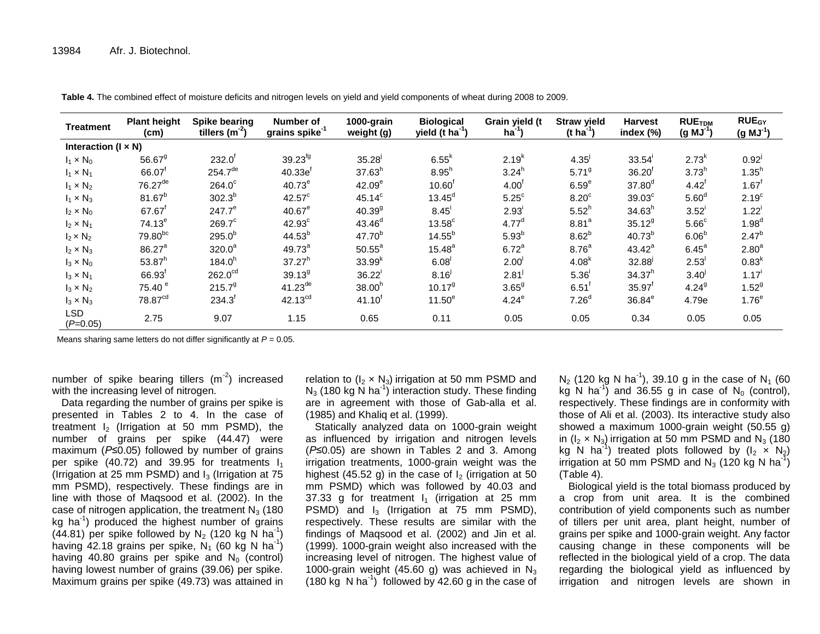| <b>Treatment</b>             | <b>Plant height</b><br>(cm) | Spike bearing<br>tillers $(m-2)$ | Number of<br>grains spike <sup>-1</sup> | 1000-grain<br>weight (g) | <b>Biological</b><br>yield $(\bar{t} \hat{h} a^{-1})$ | Grain yield (t<br>$ha^{-1}$ | <b>Straw yield</b><br>$(t \text{ ha}^{-1})$ | <b>Harvest</b><br>index (%) | <b>RUETDM</b><br>$(g MJ^1)$ | <b>RUE<sub>GY</sub></b><br>$(g MJ-1)$ |
|------------------------------|-----------------------------|----------------------------------|-----------------------------------------|--------------------------|-------------------------------------------------------|-----------------------------|---------------------------------------------|-----------------------------|-----------------------------|---------------------------------------|
| Interaction ( $l \times N$ ) |                             |                                  |                                         |                          |                                                       |                             |                                             |                             |                             |                                       |
| $I_1 \times N_0$             | $56.67$ <sup>9</sup>        | $232.0^{\circ}$                  | 39.23 <sup>fg</sup>                     | 35.28                    | $6.55^k$                                              | $2.19^{k}$                  | 4.35                                        | 33.54'                      | $2.73^{k}$                  | $0.92^{1}$                            |
| $I_1 \times N_1$             | 66.07                       | $254.7^{de}$                     | 40.33e                                  | $37.63^{h}$              | $8.95^{h}$                                            | $3.24^{h}$                  | 5.71 <sup>9</sup>                           | $36.20^{6}$                 | $3.73^{h}$                  | 1.35 <sup>h</sup>                     |
| $I_1 \times N_2$             | $76.27$ <sup>de</sup>       | $264.0^\circ$                    | 40.73 <sup>e</sup>                      | 42.09 <sup>e</sup>       | $10.60^{\dagger}$                                     | 4.00 <sup>1</sup>           | 6.59 <sup>e</sup>                           | $37.80^{d}$                 | $4.42^{\dagger}$            | $1.67$ <sup>t</sup>                   |
| $I_1 \times N_3$             | $81.67^{b}$                 | $302.3^{b}$                      | $42.57^{\circ}$                         | 45.14 <sup>c</sup>       | $13.45^d$                                             | $5.25^{\circ}$              | 8.20 <sup>c</sup>                           | 39.03 <sup>c</sup>          | 5.60 <sup>d</sup>           | 2.19 <sup>c</sup>                     |
| $I_2 \times N_0$             | 67.67                       | $247.7^e$                        | $40.67^e$                               | $40.39^{9}$              | $8.45^{\circ}$                                        | $2.93^{\circ}$              | $5.52^{h}$                                  | 34.63 <sup>h</sup>          | $3.52$ <sup>1</sup>         | $1.22^{i}$                            |
| $I_2 \times N_1$             | $74.13^e$                   | $269.7^c$                        | $42.93^c$                               | $43.46^{d}$              | $13.58^\circ$                                         | 4.77 <sup>d</sup>           | 8.81 <sup>a</sup>                           | $35.12^{9}$                 | 5.66 <sup>c</sup>           | $1.98^{d}$                            |
| $I_2 \times N_2$             | 79.80 <sup>bc</sup>         | $295.0^{b}$                      | $44.53^{b}$                             | $47.70^{b}$              | $14.55^{b}$                                           | $5.93^{b}$                  | $8.62^{b}$                                  | $40.73^{b}$                 | 6.06 <sup>b</sup>           | $2.47^{b}$                            |
| $I_2 \times N_3$             | 86.27 <sup>a</sup>          | 320.0 <sup>a</sup>               | 49.73 <sup>a</sup>                      | $50.55^a$                | $15.48^{a}$                                           | $6.72^{a}$                  | 8.76 <sup>a</sup>                           | $43.42^a$                   | $6.45^a$                    | 2.80 <sup>a</sup>                     |
| $I_3 \times N_0$             | $53.87^{h}$                 | 184.0 <sup>h</sup>               | $37.27^{h}$                             | $33.99^{k}$              | 6.08                                                  | 2.00 <sup>1</sup>           | 4.08 <sup>k</sup>                           | 32.88                       | 2.53                        | $0.83^{k}$                            |
| $I_3 \times N_1$             | $66.93$ <sup>f</sup>        | 262.0 <sup>cd</sup>              | $39.13^{9}$                             | $36.22^{i}$              | $8.16^{j}$                                            | $2.81$ <sup>J</sup>         | 5.36'                                       | $34.37^{h}$                 | 3.40 <sup>j</sup>           | $1.17^{i}$                            |
| $I_3 \times N_2$             | 75.40 <sup>e</sup>          | 215.7 <sup>9</sup>               | $41.23^{de}$                            | 38.00 <sup>h</sup>       | 10.17 <sup>9</sup>                                    | $3.65^9$                    | 6.51                                        | 35.97                       | 4.24 <sup>9</sup>           | $1.52^{9}$                            |
| $I_3 \times N_3$             | 78.87 <sup>cd</sup>         | $234.3^{\circ}$                  | 42.13 <sup>cd</sup>                     | $41.10$ <sup>t</sup>     | 11.50 <sup>e</sup>                                    | $4.24^e$                    | 7.26 <sup>d</sup>                           | $36.84^e$                   | 4.79e                       | 1.76 <sup>e</sup>                     |
| <b>LSD</b><br>$(P=0.05)$     | 2.75                        | 9.07                             | 1.15                                    | 0.65                     | 0.11                                                  | 0.05                        | 0.05                                        | 0.34                        | 0.05                        | 0.05                                  |

**Table 4.** The combined effect of moisture deficits and nitrogen levels on yield and yield components of wheat during 2008 to 2009.

Means sharing same letters do not differ significantly at *P* = 0.05.

number of spike bearing tillers  $(m<sup>-2</sup>)$  increased with the increasing level of nitrogen.

Data regarding the number of grains per spike is presented in Tables 2 to 4. In the case of treatment  $I_2$  (Irrigation at 50 mm PSMD), the number of grains per spike (44.47) were maximum (*P≤*0.05) followed by number of grains per spike (40.72) and 39.95 for treatments  $I_1$ (Irrigation at 25 mm PSMD) and  $I_3$  (Irrigation at 75 mm PSMD), respectively. These findings are in line with those of Maqsood et al. (2002). In the case of nitrogen application, the treatment  $N_3$  (180 kg ha<sup>1</sup>) produced the highest number of grains  $(44.81)$  per spike followed by N<sub>2</sub> (120 kg N ha<sup>-1</sup>) having 42.18 grains per spike,  $N_1$  (60 kg N ha<sup>-1</sup>) having 40.80 grains per spike and  $N_0$  (control) having lowest number of grains (39.06) per spike. Maximum grains per spike (49.73) was attained in

relation to  $(I_2 \times N_3)$  irrigation at 50 mm PSMD and  $N_3$  (180 kg  $\overline{N}$  ha<sup>-1</sup>) interaction study. These finding are in agreement with those of Gab-alla et al. (1985) and Khaliq et al. (1999).

Statically analyzed data on 1000-grain weight as influenced by irrigation and nitrogen levels (*P≤*0.05) are shown in Tables 2 and 3. Among irrigation treatments, 1000-grain weight was the highest (45.52 g) in the case of  $I_2$  (irrigation at 50 mm PSMD) which was followed by 40.03 and 37.33 g for treatment  $I_1$  (irrigation at 25 mm PSMD) and  $I_3$  (Irrigation at 75 mm PSMD), respectively. These results are similar with the findings of Maqsood et al. (2002) and Jin et al. (1999). 1000-grain weight also increased with the increasing level of nitrogen. The highest value of 1000-grain weight (45.60 g) was achieved in  $N_3$  $(180 \text{ kg} \cdot \text{N} \text{ ha}^{-1})$  followed by 42.60 g in the case of

 $N_2$  (120 kg N ha<sup>-1</sup>), 39.10 g in the case of N<sub>1</sub> (60 kg N ha<sup>-1</sup>) and 36.55 g in case of N<sub>0</sub> (control), respectively. These findings are in conformity with those of Ali et al. (2003). Its interactive study also showed a maximum 1000-grain weight (50.55 g) in ( $I_2 \times N_3$ ) irrigation at 50 mm PSMD and  $N_3$  (180 kg N ha<sup>-1</sup>) treated plots followed by  $(I_2 \times N_2)$ irrigation at 50 mm PSMD and N<sub>3</sub> (120 kg N ha<sup>-1</sup>) (Table 4).

Biological yield is the total biomass produced by a crop from unit area. It is the combined contribution of yield components such as number of tillers per unit area, plant height, number of grains per spike and 1000-grain weight. Any factor causing change in these components will be reflected in the biological yield of a crop. The data regarding the biological yield as influenced by irrigation and nitrogen levels are shown in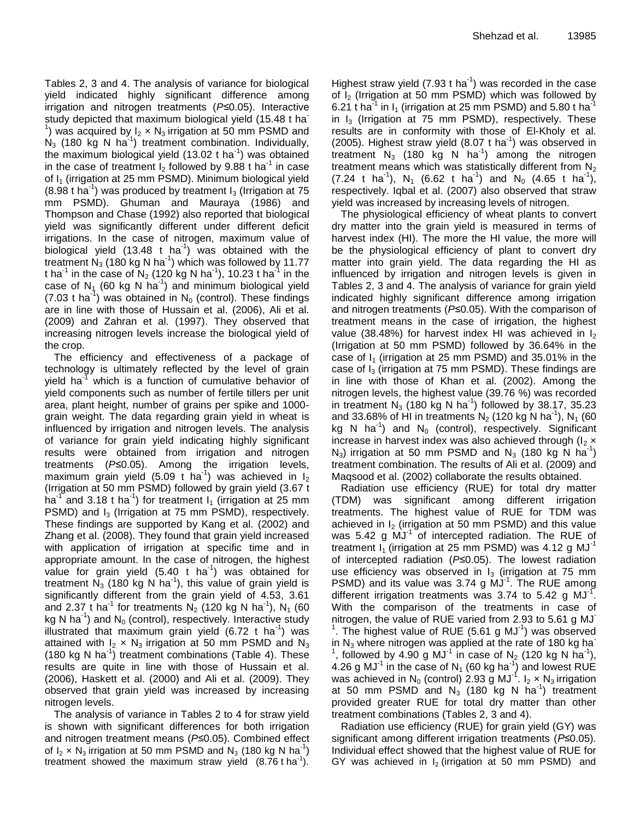Tables 2, 3 and 4. The analysis of variance for biological yield indicated highly significant difference among irrigation and nitrogen treatments (*P≤*0.05). Interactive study depicted that maximum biological yield (15.48 t ha-<sup>1</sup>) was acquired by  $I_2 \times N_3$  irrigation at 50 mm PSMD and  $N_3$  (180 kg N ha<sup>-1</sup>) treatment combination. Individually, the maximum biological yield (13.02 t ha $^{-1}$ ) was obtained in the case of treatment  $I_2$  followed by 9.88 t ha<sup>-1</sup> in case of  $I_1$  (irrigation at 25 mm PSMD). Minimum biological yield (8.98 t ha<sup>-1</sup>) was produced by treatment  $I_3$  (Irrigation at 75 mm PSMD). Ghuman and Mauraya (1986) and Thompson and Chase (1992) also reported that biological yield was significantly different under different deficit irrigations. In the case of nitrogen, maximum value of biological yield (13.48  $t$  ha<sup>-1</sup>) was obtained with the treatment N<sub>3</sub> (180 kg N ha<sup>-1</sup>) which was followed by 11.77 t ha<sup>-1</sup> in the case of N<sub>2</sub> (120 kg N ha<sup>-1</sup>), 10.23 t ha<sup>-1</sup> in the case of N<sub>1</sub> (60 kg N ha<sup>-1</sup>) and minimum biological yield (7.03 t ha<sup>-1</sup>) was obtained in  $N_0$  (control). These findings are in line with those of Hussain et al. (2006), Ali et al. (2009) and Zahran et al. (1997). They observed that increasing nitrogen levels increase the biological yield of the crop.

The efficiency and effectiveness of a package of technology is ultimately reflected by the level of grain yield ha $^{-1}$  which is a function of cumulative behavior of yield components such as number of fertile tillers per unit area, plant height, number of grains per spike and 1000 grain weight. The data regarding grain yield in wheat is influenced by irrigation and nitrogen levels. The analysis of variance for grain yield indicating highly significant results were obtained from irrigation and nitrogen treatments (*P≤*0.05). Among the irrigation levels, maximum grain yield (5.09 t ha<sup>-1</sup>) was achieved in  $I_2$ (Irrigation at 50 mm PSMD) followed by grain yield (3.67 t ha<sup>-1</sup> and 3.18 t ha<sup>-1</sup>) for treatment  $I_1$  (irrigation at 25 mm PSMD) and  $I_3$  (Irrigation at 75 mm PSMD), respectively. These findings are supported by Kang et al. (2002) and Zhang et al. (2008). They found that grain yield increased with application of irrigation at specific time and in appropriate amount. In the case of nitrogen, the highest value for grain yield (5.40 t ha<sup>-1</sup>) was obtained for treatment  $\overline{N}_3$  (180 kg N ha<sup>-1</sup>), this value of grain yield is significantly different from the grain yield of 4.53, 3.61 and 2.37 t ha<sup>-1</sup> for treatments  $N_2$  (120 kg N ha<sup>-1</sup>), N<sub>1</sub> (60 kg N ha<sup>-1</sup>) and N<sub>0</sub> (control), respectively. Interactive study illustrated that maximum grain yield (6.72 t ha<sup>1</sup>) was attained with  $I_2 \times N_3$  irrigation at 50 mm PSMD and N<sub>3</sub> (180 kg N ha<sup>-1</sup>) treatment combinations (Table 4). These results are quite in line with those of Hussain et al. (2006), Haskett et al. (2000) and Ali et al. (2009). They observed that grain yield was increased by increasing nitrogen levels.

The analysis of variance in Tables 2 to 4 for straw yield is shown with significant differences for both irrigation and nitrogen treatment means (*P≤*0.05). Combined effect of  $I_2 \times N_3$  irrigation at 50 mm PSMD and  $N_3$  (180 kg N ha<sup>-1</sup>) treatment showed the maximum straw yield  $(8.76 \text{ t} \text{ ha}^1)$ .

Highest straw yield (7.93  $t$  ha<sup>-1</sup>) was recorded in the case of  $I_2$  (Irrigation at 50 mm PSMD) which was followed by 6.21  $t$  ha $^{-1}$  in I<sub>1</sub> (irrigation at 25 mm PSMD) and 5.80  $t$  ha $^{-1}$ in  $I_3$  (Irrigation at 75 mm PSMD), respectively. These results are in conformity with those of El-Kholy et al. (2005). Highest straw yield  $(8.07 \text{ t} \text{ ha}^{-1})$  was observed in treatment  $N_3$  (180 kg N ha<sup>-1</sup>) among the nitrogen treatment means which was statistically different from  $N<sub>2</sub>$  $(7.24 \text{ t} \text{ ha}^{-1})$ , N<sub>1</sub>  $(6.62 \text{ t} \text{ ha}^{-1})$  and N<sub>0</sub>  $(4.65 \text{ t} \text{ ha}^{-1})$ , respectively. Iqbal et al. (2007) also observed that straw yield was increased by increasing levels of nitrogen.

The physiological efficiency of wheat plants to convert dry matter into the grain yield is measured in terms of harvest index (HI). The more the HI value, the more will be the physiological efficiency of plant to convert dry matter into grain yield. The data regarding the HI as influenced by irrigation and nitrogen levels is given in Tables 2, 3 and 4. The analysis of variance for grain yield indicated highly significant difference among irrigation and nitrogen treatments (*P≤*0.05). With the comparison of treatment means in the case of irrigation, the highest value (38.48%) for harvest index HI was achieved in  $I_2$ (Irrigation at 50 mm PSMD) followed by 36.64% in the case of  $I_1$  (irrigation at 25 mm PSMD) and 35.01% in the case of  $I_3$  (irrigation at 75 mm PSMD). These findings are in line with those of Khan et al. (2002). Among the nitrogen levels, the highest value (39.76 %) was recorded in treatment N<sub>3</sub> (180 kg N ha<sup>-1</sup>) followed by 38.17, 35.23 and 33.68% of HI in treatments N<sub>2</sub> (120 kg N ha<sup>-1</sup>), N<sub>1</sub> (60 kg N ha<sup>-1</sup>) and N<sub>0</sub> (control), respectively. Significant increase in harvest index was also achieved through  $I_2 \times I_3$  $N_3$ ) irrigation at 50 mm PSMD and  $N_3$  (180 kg N ha<sup>-1</sup>) treatment combination. The results of Ali et al. (2009) and Maqsood et al. (2002) collaborate the results obtained.

Radiation use efficiency (RUE) for total dry matter (TDM) was significant among different irrigation treatments. The highest value of RUE for TDM was achieved in  $I_2$  (irrigation at 50 mm PSMD) and this value was 5.42 g  $\text{MJ}^1$  of intercepted radiation. The RUE of treatment  $I_1$  (irrigation at 25 mm PSMD) was 4.12 g MJ<sup>-1</sup> of intercepted radiation (*P≤*0.05). The lowest radiation use efficiency was observed in  $I_3$  (irrigation at 75 mm PSMD) and its value was 3.74 g  $\text{MJ}^{-1}$ . The RUE among different irrigation treatments was 3.74 to 5.42 g MJ<sup>-1</sup>. With the comparison of the treatments in case of nitrogen, the value of RUE varied from 2.93 to 5.61 g MJ- $1$ . The highest value of RUE (5.61 g MJ $1$ ) was observed in  $N_3$  where nitrogen was applied at the rate of 180 kg ha<sup>-</sup> 1 , followed by 4.90 g MJ<sup>-1</sup> in case of N<sub>2</sub> (120 kg N ha<sup>-1</sup>), 4.26 g MJ<sup>-1</sup> in the case of N<sub>1</sub> (60 kg ha<sup>-1</sup>) and lowest RUE was achieved in N<sub>0</sub> (control) 2.93 g MJ<sup>-1</sup>. I<sub>2</sub>  $\times$  N<sub>3</sub> irrigation at 50 mm PSMD and  $N_3$  (180 kg N ha<sup>-1</sup>) treatment provided greater RUE for total dry matter than other treatment combinations (Tables 2, 3 and 4).

Radiation use efficiency (RUE) for grain yield (GY) was significant among different irrigation treatments (*P≤*0.05). Individual effect showed that the highest value of RUE for GY was achieved in  $I_2$  (irrigation at 50 mm PSMD) and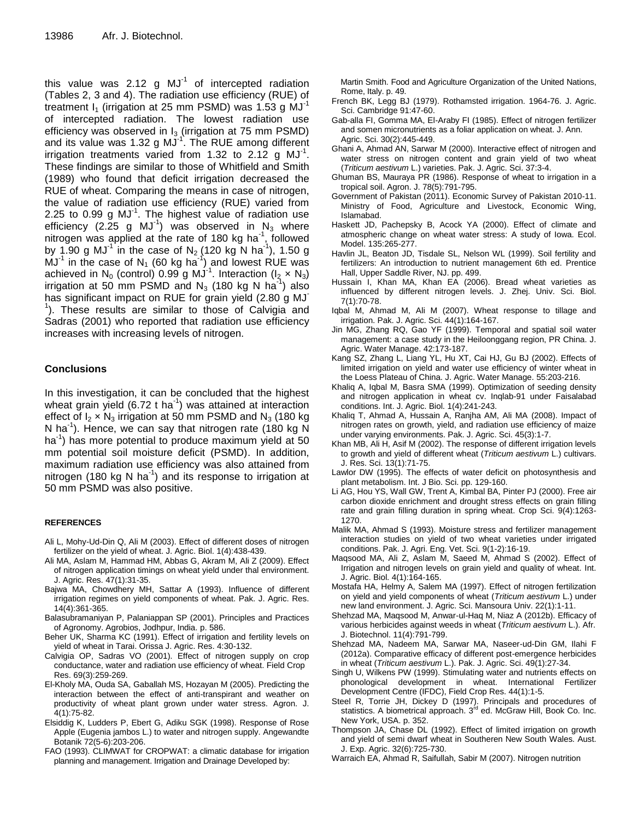this value was 2.12 g  $MJ^{-1}$  of intercepted radiation (Tables 2, 3 and 4). The radiation use efficiency (RUE) of treatment  $I_1$  (irrigation at 25 mm PSMD) was 1.53 g MJ<sup>-1</sup> of intercepted radiation. The lowest radiation use efficiency was observed in  $I_3$  (irrigation at 75 mm PSMD) and its value was 1.32 g MJ<sup>-1</sup>. The RUE among different irrigation treatments varied from 1.32 to 2.12 g  $MJ^{-1}$ . These findings are similar to those of Whitfield and Smith (1989) who found that deficit irrigation decreased the RUE of wheat. Comparing the means in case of nitrogen, the value of radiation use efficiency (RUE) varied from 2.25 to 0.99 g MJ $^{-1}$ . The highest value of radiation use efficiency (2.25 g MJ<sup>-1</sup>) was observed in N<sub>3</sub> where nitrogen was applied at the rate of 180 kg ha<sup>-1</sup>, followed by 1.90 g MJ<sup>-1</sup> in the case of N<sub>2</sub> (120 kg N ha<sup>-1</sup>), 1.50 g  $MJ<sup>-1</sup>$  in the case of N<sub>1</sub> (60 kg ha<sup>-1</sup>) and lowest RUE was achieved in N<sub>0</sub> (control) 0.99 g MJ<sup>-1</sup>. Interaction (I<sub>2</sub> x N<sub>3</sub>) irrigation at 50 mm PSMD and N<sub>3</sub> (180 kg N ha<sup>-1</sup>) also has significant impact on RUE for grain yield (2.80 g MJ <sup>1</sup>). These results are similar to those of Calvigia and Sadras (2001) who reported that radiation use efficiency increases with increasing levels of nitrogen.

#### **Conclusions**

In this investigation, it can be concluded that the highest wheat grain yield (6.72 t ha<sup>-1</sup>) was attained at interaction effect of  $I_2 \times N_3$  irrigation at 50 mm PSMD and  $N_3$  (180 kg N ha<sup>-1</sup>). Hence, we can say that nitrogen rate (180 kg  $\breve{N}$ ha-1 ) has more potential to produce maximum yield at 50 mm potential soil moisture deficit (PSMD). In addition, maximum radiation use efficiency was also attained from nitrogen (180 kg N ha<sup>-1</sup>) and its response to irrigation at 50 mm PSMD was also positive.

#### **REFERENCES**

- Ali L, Mohy-Ud-Din Q, Ali M (2003). Effect of different doses of nitrogen fertilizer on the yield of wheat. J. Agric. Biol. 1(4):438-439.
- Ali MA, Aslam M, Hammad HM, Abbas G, Akram M, Ali Z (2009). Effect of nitrogen application timings on wheat yield under thal environment. J. Agric. Res. 47(1):31-35.
- Bajwa MA, Chowdhery MH, Sattar A (1993). Influence of different irrigation regimes on yield components of wheat. Pak. J. Agric. Res. 14(4):361-365.
- Balasubramaniyan P, Palaniappan SP (2001). Principles and Practices of Agronomy. Agrobios, Jodhpur, India. p. 586.
- Beher UK, Sharma KC (1991). Effect of irrigation and fertility levels on yield of wheat in Tarai. Orissa J. Agric. Res. 4:30-132.
- Calvigia OP, Sadras VO (2001). Effect of nitrogen supply on crop conductance, water and radiation use efficiency of wheat. Field Crop Res. 69(3):259-269.
- El-Kholy MA, Ouda SA, Gaballah MS, Hozayan M (2005). Predicting the interaction between the effect of anti-transpirant and weather on productivity of wheat plant grown under water stress. Agron. J. 4(1):75-82.
- Elsiddig K, Ludders P, Ebert G, Adiku SGK (1998). Response of Rose Apple (Eugenia jambos L.) to water and nitrogen supply. Angewandte Botanik 72(5-6):203-206.
- FAO (1993). CLIMWAT for CROPWAT: a climatic database for irrigation planning and management. Irrigation and Drainage Developed by:

 Martin Smith. Food and Agriculture Organization of the United Nations, Rome, Italy. p. 49.

- French BK, Legg BJ (1979). Rothamsted irrigation. 1964-76. J. Agric. Sci. Cambridge 91:47-60.
- Gab-alla FI, Gomma MA, El-Araby FI (1985). Effect of nitrogen fertilizer and somen micronutrients as a foliar application on wheat. J. Ann. Agric. Sci. 30(2):445-449.
- Ghani A, Ahmad AN, Sarwar M (2000). Interactive effect of nitrogen and water stress on nitrogen content and grain yield of two wheat (*Triticum aestivum* L.) varieties. Pak. J. Agric. Sci. 37:3-4.
- Ghuman BS, Mauraya PR (1986). Response of wheat to irrigation in a tropical soil. Agron. J. 78(5):791-795.
- Government of Pakistan (2011). Economic Survey of Pakistan 2010-11. Ministry of Food, Agriculture and Livestock, Economic Wing, Islamabad.
- Haskett JD, Pachepsky B, Acock YA (2000). Effect of climate and atmospheric change on wheat water stress: A study of Iowa. Ecol. Model. 135:265-277.
- Havlin JL, Beaton JD, Tisdale SL, Nelson WL (1999). Soil fertility and fertilizers: An introduction to nutrient management 6th ed. Prentice Hall, Upper Saddle River, NJ. pp. 499.
- Hussain I, Khan MA, Khan EA (2006). Bread wheat varieties as influenced by different nitrogen levels. J. Zhej. Univ. Sci. Biol. 7(1):70-78.
- Iqbal M, Ahmad M, Ali M (2007). Wheat response to tillage and irrigation. Pak. J. Agric. Sci. 44(1):164-167.
- Jin MG, Zhang RQ, Gao YF (1999). Temporal and spatial soil water management: a case study in the Heiloonggang region, PR China. J. Agric. Water Manage. 42:173-187.
- Kang SZ, Zhang L, Liang YL, Hu XT, Cai HJ, Gu BJ (2002). Effects of limited irrigation on yield and water use efficiency of winter wheat in the Loess Plateau of China. J. Agric. Water Manage. 55:203-216.
- Khaliq A, Iqbal M, Basra SMA (1999). Optimization of seeding density and nitrogen application in wheat cv. Inqlab-91 under Faisalabad conditions. Int. J. Agric. Biol. 1(4):241-243.
- Khaliq T, Ahmad A, Hussain A, Ranjha AM, Ali MA (2008). Impact of nitrogen rates on growth, yield, and radiation use efficiency of maize under varying environments. Pak. J. Agric. Sci. 45(3):1-7.
- Khan MB, Ali H, Asif M (2002). The response of different irrigation levels to growth and yield of different wheat (*Triticum aestivum* L.) cultivars. J. Res. Sci. 13(1):71-75.
- Lawlor DW (1995). The effects of water deficit on photosynthesis and plant metabolism. Int. J Bio. Sci. pp. 129-160.
- Li AG, Hou YS, Wall GW, Trent A, Kimbal BA, Pinter PJ (2000). Free air carbon dioxide enrichment and drought stress effects on grain filling rate and grain filling duration in spring wheat. Crop Sci. 9(4):1263- 1270.
- Malik MA, Ahmad S (1993). Moisture stress and fertilizer management interaction studies on yield of two wheat varieties under irrigated conditions. Pak. J. Agri. Eng. Vet. Sci. 9(1-2):16-19.
- Maqsood MA, Ali Z, Aslam M, Saeed M, Ahmad S (2002). Effect of Irrigation and nitrogen levels on grain yield and quality of wheat. Int. J. Agric. Biol. 4(1):164-165.
- Mostafa HA, Helmy A, Salem MA (1997). Effect of nitrogen fertilization on yield and yield components of wheat (*Triticum aestivum* L.) under new land environment. J. Agric. Sci. Mansoura Univ. 22(1):1-11.
- Shehzad MA, Maqsood M, Anwar-ul-Haq M, Niaz A (2012b). Efficacy of various herbicides against weeds in wheat (*Triticum aestivum* L.). Afr. J. Biotechnol. 11(4):791-799.
- Shehzad MA, Nadeem MA, Sarwar MA, Naseer-ud-Din GM, Ilahi F (2012a). Comparative efficacy of different post-emergence herbicides in wheat (*Triticum aestivum* L.). Pak. J. Agric. Sci. 49(1):27-34.
- Singh U, Wilkens PW (1999). Stimulating water and nutrients effects on phonological development in wheat. International Fertilizer Development Centre (IFDC), Field Crop Res. 44(1):1-5.
- Steel R, Torrie JH, Dickey D (1997). Principals and procedures of statistics. A biometrical approach. 3<sup>rd</sup> ed. McGraw Hill, Book Co. Inc. New York, USA. p. 352.
- Thompson JA, Chase DL (1992). Effect of limited irrigation on growth and yield of semi dwarf wheat in Southeren New South Wales. Aust. J. Exp. Agric. 32(6):725-730.
- Warraich EA, Ahmad R, Saifullah, Sabir M (2007). Nitrogen nutrition